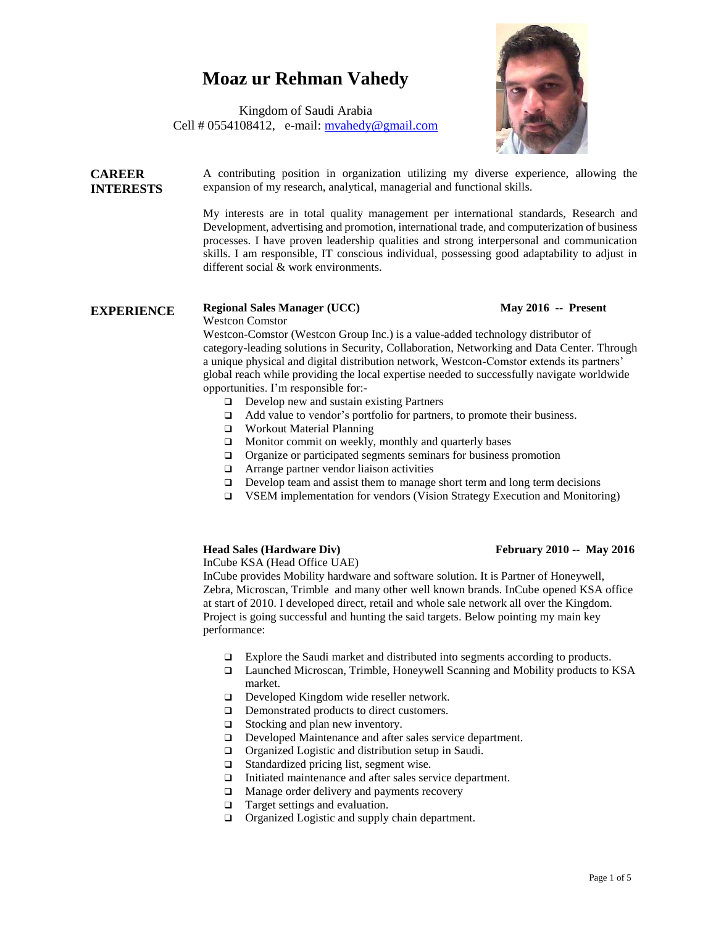# **Moaz ur Rehman Vahedy**

Kingdom of Saudi Arabia Cell  $\# 0554108412$ , e-mail: myahedy@gmail.com



**CAREER INTERESTS** A contributing position in organization utilizing my diverse experience, allowing the expansion of my research, analytical, managerial and functional skills.

> My interests are in total quality management per international standards, Research and Development, advertising and promotion, international trade, and computerization of business processes. I have proven leadership qualities and strong interpersonal and communication skills. I am responsible, IT conscious individual, possessing good adaptability to adjust in different social & work environments.

### **EXPERIENCE** Regional Sales Manager (UCC) May 2016 -- Present

Westcon Comstor

Westcon-Comstor (Westcon Group Inc.) is a value-added technology distributor of category-leading solutions in Security, Collaboration, Networking and Data Center. Through a unique physical and digital distribution network, Westcon-Comstor extends its partners' global reach while providing the local expertise needed to successfully navigate worldwide opportunities. I'm responsible for:-

- $\Box$  Develop new and sustain existing Partners
- □ Add value to vendor's portfolio for partners, to promote their business.
- Workout Material Planning
- **I** Monitor commit on weekly, monthly and quarterly bases
- **Q** Organize or participated segments seminars for business promotion
- $\Box$  Arrange partner vendor liaison activities
- $\Box$  Develop team and assist them to manage short term and long term decisions
- VSEM implementation for vendors (Vision Strategy Execution and Monitoring)

### **Head Sales (Hardware Div)** February 2010 -- May 2016

InCube KSA (Head Office UAE)

InCube provides Mobility hardware and software solution. It is Partner of Honeywell, Zebra, Microscan, Trimble and many other well known brands. InCube opened KSA office at start of 2010. I developed direct, retail and whole sale network all over the Kingdom. Project is going successful and hunting the said targets. Below pointing my main key performance:

- Explore the Saudi market and distributed into segments according to products.
- Launched Microscan, Trimble, Honeywell Scanning and Mobility products to KSA market.
- Developed Kingdom wide reseller network.
- **D** Demonstrated products to direct customers.
- □ Stocking and plan new inventory.
- Developed Maintenance and after sales service department.
- □ Organized Logistic and distribution setup in Saudi.
- □ Standardized pricing list, segment wise.
- □ Initiated maintenance and after sales service department.
- $\Box$  Manage order delivery and payments recovery
- $\Box$  Target settings and evaluation.
- $\Box$  Organized Logistic and supply chain department.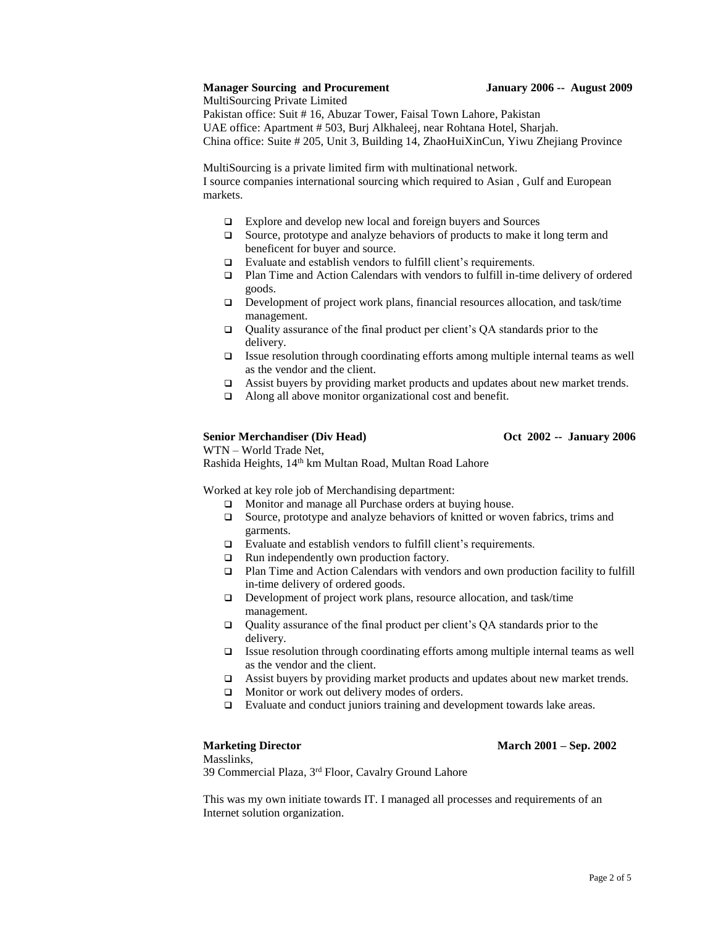### **Manager Sourcing and Procurement January 2006 -- August 2009**

MultiSourcing Private Limited Pakistan office: Suit # 16, Abuzar Tower, Faisal Town Lahore, Pakistan UAE office: Apartment # 503, Burj Alkhaleej, near Rohtana Hotel, Sharjah. China office: Suite # 205, Unit 3, Building 14, ZhaoHuiXinCun, Yiwu Zhejiang Province

MultiSourcing is a private limited firm with multinational network.

I source companies international sourcing which required to Asian , Gulf and European markets.

- Explore and develop new local and foreign buyers and Sources
- $\Box$  Source, prototype and analyze behaviors of products to make it long term and beneficent for buyer and source.
- □ Evaluate and establish vendors to fulfill client's requirements.
- Plan Time and Action Calendars with vendors to fulfill in-time delivery of ordered goods.
- Development of project work plans, financial resources allocation, and task/time management.
- $\Box$  Quality assurance of the final product per client's QA standards prior to the delivery.
- Issue resolution through coordinating efforts among multiple internal teams as well as the vendor and the client.
- □ Assist buyers by providing market products and updates about new market trends.
- Along all above monitor organizational cost and benefit.

### Senior Merchandiser (Div Head) **Oct 2002 -- January 2006**

WTN – World Trade Net, Rashida Heights, 14th km Multan Road, Multan Road Lahore

Worked at key role job of Merchandising department:

- $\Box$  Monitor and manage all Purchase orders at buying house.
- $\Box$  Source, prototype and analyze behaviors of knitted or woven fabrics, trims and garments.
- Evaluate and establish vendors to fulfill client's requirements.
- $\Box$  Run independently own production factory.
- Plan Time and Action Calendars with vendors and own production facility to fulfill in-time delivery of ordered goods.
- Development of project work plans, resource allocation, and task/time management.
- $\Box$  Quality assurance of the final product per client's QA standards prior to the delivery.
- Issue resolution through coordinating efforts among multiple internal teams as well as the vendor and the client.
- $\Box$  Assist buyers by providing market products and updates about new market trends.
- **I** Monitor or work out delivery modes of orders.
- □ Evaluate and conduct juniors training and development towards lake areas.

## **Marketing Director March 2001 – Sep. 2002**

Masslinks,

39 Commercial Plaza, 3rd Floor, Cavalry Ground Lahore

This was my own initiate towards IT. I managed all processes and requirements of an Internet solution organization.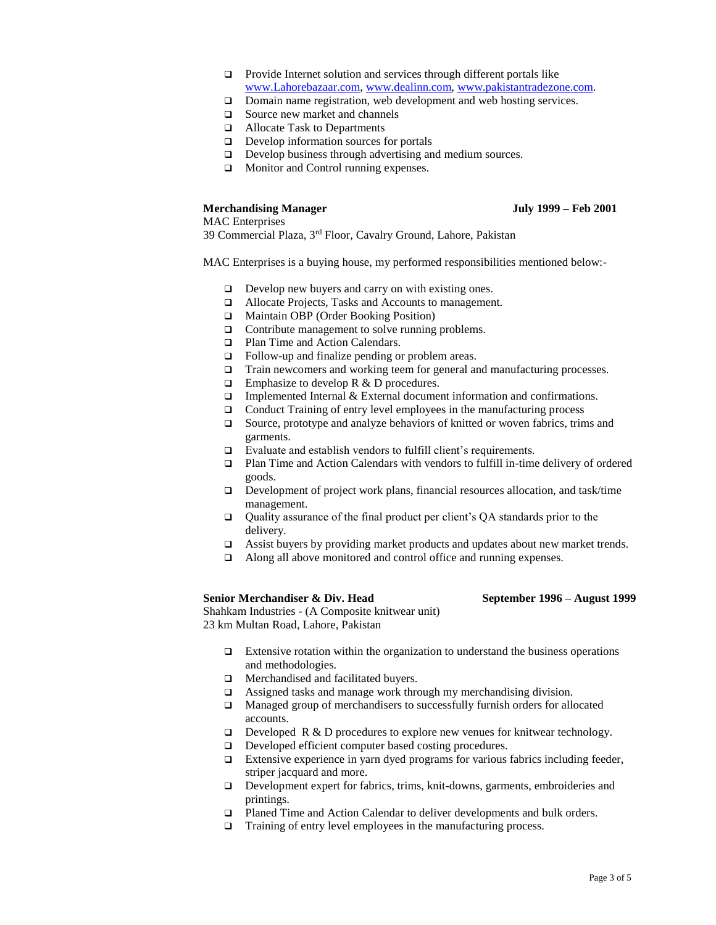- **Provide Internet solution and services through different portals like** [www.Lahorebazaar.com,](http://www.lahorebazaar.com/) [www.dealinn.com,](http://www.dealinn.com/) [www.pakistantradezone.com.](http://www.pakistantradezone.com/)
- □ Domain name registration, web development and web hosting services.
- □ Source new market and channels
- Allocate Task to Departments
- Develop information sources for portals
- Develop business through advertising and medium sources.
- **I** Monitor and Control running expenses.

### **Merchandising Manager July 1999 – Feb 2001**

MAC Enterprises

39 Commercial Plaza, 3rd Floor, Cavalry Ground, Lahore, Pakistan

MAC Enterprises is a buying house, my performed responsibilities mentioned below:-

- Develop new buyers and carry on with existing ones.
- Allocate Projects, Tasks and Accounts to management.
- Maintain OBP (Order Booking Position)
- □ Contribute management to solve running problems.
- □ Plan Time and Action Calendars.
- □ Follow-up and finalize pending or problem areas.
- □ Train newcomers and working teem for general and manufacturing processes.
- $\Box$  Emphasize to develop R & D procedures.
- $\Box$  Implemented Internal & External document information and confirmations.
- $\Box$  Conduct Training of entry level employees in the manufacturing process
- □ Source, prototype and analyze behaviors of knitted or woven fabrics, trims and garments.
- □ Evaluate and establish vendors to fulfill client's requirements.
- Plan Time and Action Calendars with vendors to fulfill in-time delivery of ordered goods.
- $\Box$  Development of project work plans, financial resources allocation, and task/time management.
- $\Box$  Quality assurance of the final product per client's QA standards prior to the delivery.
- □ Assist buyers by providing market products and updates about new market trends.
- □ Along all above monitored and control office and running expenses.

**Senior Merchandiser & Div. Head September 1996 – August 1999**

Shahkam Industries - (A Composite knitwear unit) 23 km Multan Road, Lahore, Pakistan

- $\Box$  Extensive rotation within the organization to understand the business operations and methodologies.
- **I** Merchandised and facilitated buvers.
- Assigned tasks and manage work through my merchandising division.
- □ Managed group of merchandisers to successfully furnish orders for allocated accounts.
- $\Box$  Developed R & D procedures to explore new venues for knitwear technology.
- Developed efficient computer based costing procedures.
- $\Box$  Extensive experience in yarn dyed programs for various fabrics including feeder, striper jacquard and more.
- Development expert for fabrics, trims, knit-downs, garments, embroideries and printings.
- Planed Time and Action Calendar to deliver developments and bulk orders.
- $\Box$  Training of entry level employees in the manufacturing process.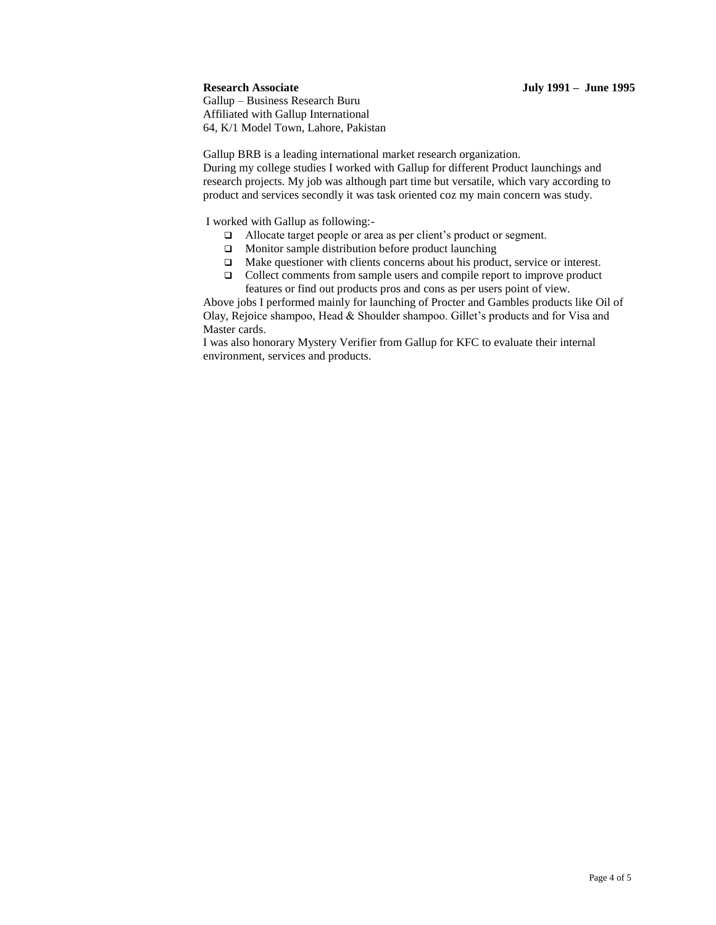### **Research Associate July 1991 – June 1995**

Gallup – Business Research Buru Affiliated with Gallup International 64, K/1 Model Town, Lahore, Pakistan

Gallup BRB is a leading international market research organization. During my college studies I worked with Gallup for different Product launchings and research projects. My job was although part time but versatile, which vary according to product and services secondly it was task oriented coz my main concern was study.

I worked with Gallup as following:-

- Allocate target people or area as per client's product or segment.
- □ Monitor sample distribution before product launching
- Make questioner with clients concerns about his product, service or interest.
- □ Collect comments from sample users and compile report to improve product features or find out products pros and cons as per users point of view.

Above jobs I performed mainly for launching of Procter and Gambles products like Oil of Olay, Rejoice shampoo, Head & Shoulder shampoo. Gillet's products and for Visa and Master cards.

I was also honorary Mystery Verifier from Gallup for KFC to evaluate their internal environment, services and products.